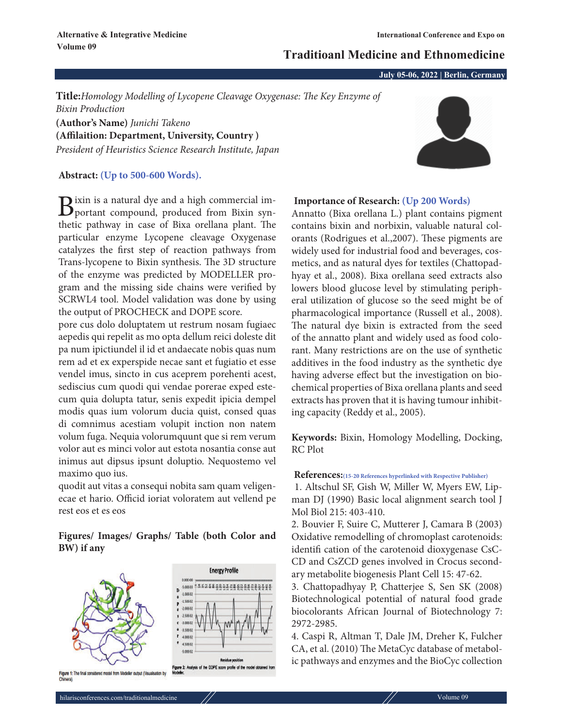# **Traditioanl Medicine and Ethnomedicine**

**July 05-06, 2022 | Berlin, Germany**

**Title:***Homology Modelling of Lycopene Cleavage Oxygenase: The Key Enzyme of Bixin Production* **(Author's Name)** *Junichi Takeno*

**(Affilaition: Department, University, Country )** *President of Heuristics Science Research Institute, Japan*

**Abstract: (Up to 500-600 Words).**

Bixin is a natural dye and a high commercial im-<br>portant compound, produced from Bixin synthetic pathway in case of Bixa orellana plant. The particular enzyme Lycopene cleavage Oxygenase catalyzes the first step of reaction pathways from Trans-lycopene to Bixin synthesis. The 3D structure of the enzyme was predicted by MODELLER program and the missing side chains were verified by SCRWL4 tool. Model validation was done by using the output of PROCHECK and DOPE score.

pore cus dolo doluptatem ut restrum nosam fugiaec aepedis qui repelit as mo opta dellum reici doleste dit pa num ipictiundel il id et andaecate nobis quas num rem ad et ex experspide necae sant et fugiatio et esse vendel imus, sincto in cus aceprem porehenti acest, sediscius cum quodi qui vendae porerae exped estecum quia dolupta tatur, senis expedit ipicia dempel modis quas ium volorum ducia quist, consed quas di comnimus acestiam volupit inction non natem volum fuga. Nequia volorumquunt que si rem verum volor aut es minci volor aut estota nosantia conse aut inimus aut dipsus ipsunt doluptio. Nequostemo vel maximo quo ius.

quodit aut vitas a consequi nobita sam quam veligenecae et hario. Officid ioriat voloratem aut vellend pe rest eos et es eos

# **Figures/ Images/ Graphs/ Table (both Color and BW) if any**



### **Importance of Research: (Up 200 Words)**

Annatto (Bixa orellana L.) plant contains pigment contains bixin and norbixin, valuable natural colorants (Rodrigues et al.,2007). These pigments are widely used for industrial food and beverages, cosmetics, and as natural dyes for textiles (Chattopadhyay et al., 2008). Bixa orellana seed extracts also lowers blood glucose level by stimulating peripheral utilization of glucose so the seed might be of pharmacological importance (Russell et al., 2008). The natural dye bixin is extracted from the seed of the annatto plant and widely used as food colorant. Many restrictions are on the use of synthetic additives in the food industry as the synthetic dye having adverse effect but the investigation on biochemical properties of Bixa orellana plants and seed extracts has proven that it is having tumour inhibiting capacity (Reddy et al., 2005).

**Keywords:** Bixin, Homology Modelling, Docking, RC Plot

### **References:(15-20 References hyperlinked with Respective Publisher)**

1. Altschul SF, Gish W, Miller W, Myers EW, Lipman DJ (1990) Basic local alignment search tool J Mol Biol 215: 403-410.

2. Bouvier F, Suire C, Mutterer J, Camara B (2003) Oxidative remodelling of chromoplast carotenoids: identifi cation of the carotenoid dioxygenase CsC-CD and CsZCD genes involved in Crocus secondary metabolite biogenesis Plant Cell 15: 47-62.

3. Chattopadhyay P, Chatterjee S, Sen SK (2008) Biotechnological potential of natural food grade biocolorants African Journal of Biotechnology 7: 2972-2985.

4. Caspi R, Altman T, Dale JM, Dreher K, Fulcher CA, et al. (2010) The MetaCyc database of metabolic pathways and enzymes and the BioCyc collection